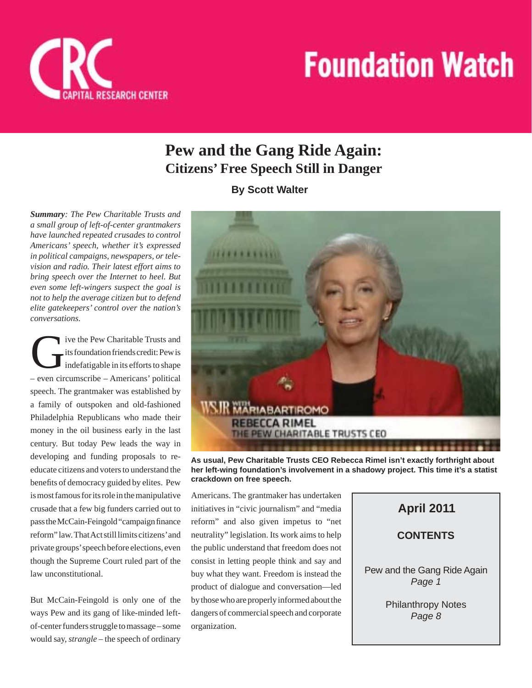

## **Pew and the Gang Ride Again: Citizens' Free Speech Still in Danger**

**By Scott Walter**

*Summary: The Pew Charitable Trusts and a small group of left-of-center grantmakers have launched repeated crusades to control Americans' speech, whether it's expressed in political campaigns, newspapers, or television and radio. Their latest effort aims to bring speech over the Internet to heel. But even some left-wingers suspect the goal is not to help the average citizen but to defend elite gatekeepers' control over the nation's conversations.*

ive the Pew Charitable Trusts and its foundation friends credit: Pew is indefatigable in its efforts to shape – even circumscribe – Americans' political speech. The grantmaker was established by a family of outspoken and old-fashioned Philadelphia Republicans who made their money in the oil business early in the last century. But today Pew leads the way in developing and funding proposals to reeducate citizens and voters to understand the benefits of democracy guided by elites. Pew is most famous for its role in the manipulative crusade that a few big funders carried out to pass the McCain-Feingold "campaign finance" reform" law. That Act still limits citizens' and private groups' speech before elections, even though the Supreme Court ruled part of the law unconstitutional.

But McCain-Feingold is only one of the ways Pew and its gang of like-minded leftof-center funders struggle to massage – some would say, *strangle* – the speech of ordinary



**As usual, Pew Charitable Trusts CEO Rebecca Rimel isn't exactly forthright about her left-wing foundation's involvement in a shadowy project. This time it's a statist crackdown on free speech.**

Americans. The grantmaker has undertaken initiatives in "civic journalism" and "media reform" and also given impetus to "net neutrality" legislation. Its work aims to help the public understand that freedom does not consist in letting people think and say and buy what they want. Freedom is instead the product of dialogue and conversation—led by those who are properly informed about the dangers of commercial speech and corporate organization.

## **CONTENTS April 2011** Pew and the Gang Ride Again *Page 1*

Philanthropy Notes *Page 8*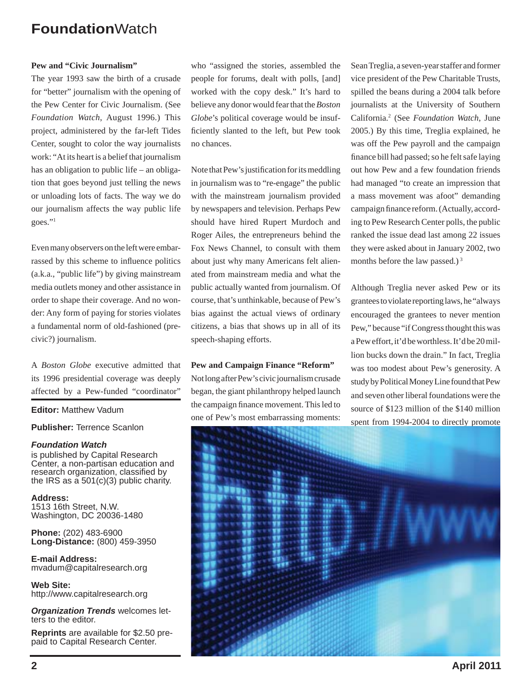#### **Pew and "Civic Journalism"**

The year 1993 saw the birth of a crusade for "better" journalism with the opening of the Pew Center for Civic Journalism. (See *Foundation Watch*, August 1996.) This project, administered by the far-left Tides Center, sought to color the way journalists work: "At its heart is a belief that journalism has an obligation to public life – an obligation that goes beyond just telling the news or unloading lots of facts. The way we do our journalism affects the way public life goes."1

Even many observers on the left were embarrassed by this scheme to influence politics (a.k.a., "public life") by giving mainstream media outlets money and other assistance in order to shape their coverage. And no wonder: Any form of paying for stories violates a fundamental norm of old-fashioned (precivic?) journalism.

A *Boston Globe* executive admitted that its 1996 presidential coverage was deeply affected by a Pew-funded "coordinator"

**Editor:** Matthew Vadum

**Publisher:** Terrence Scanlon

#### *Foundation Watch*

is published by Capital Research Center, a non-partisan education and research organization, classified by the IRS as a  $501(c)(3)$  public charity.

**Address:** 1513 16th Street, N.W. Washington, DC 20036-1480

**Phone:** (202) 483-6900 **Long-Distance:** (800) 459-3950

**E-mail Address:** mvadum@capitalresearch.org

**Web Site:** http://www.capitalresearch.org

*Organization Trends* welcomes letters to the editor.

**Reprints** are available for \$2.50 prepaid to Capital Research Center.

who "assigned the stories, assembled the people for forums, dealt with polls, [and] worked with the copy desk." It's hard to believe any donor would fear that the *Boston Globe*'s political coverage would be insufficiently slanted to the left, but Pew took no chances.

Note that Pew's justification for its meddling in journalism was to "re-engage" the public with the mainstream journalism provided by newspapers and television. Perhaps Pew should have hired Rupert Murdoch and Roger Ailes, the entrepreneurs behind the Fox News Channel, to consult with them about just why many Americans felt alienated from mainstream media and what the public actually wanted from journalism. Of course, that's unthinkable, because of Pew's bias against the actual views of ordinary citizens, a bias that shows up in all of its speech-shaping efforts.

**Pew and Campaign Finance "Reform"** Not long after Pew's civic journalism crusade began, the giant philanthropy helped launch the campaign finance movement. This led to one of Pew's most embarrassing moments: Sean Treglia, a seven-year staffer and former vice president of the Pew Charitable Trusts, spilled the beans during a 2004 talk before journalists at the University of Southern California.2 (See *Foundation Watch*, June 2005.) By this time, Treglia explained, he was off the Pew payroll and the campaign finance bill had passed; so he felt safe laying out how Pew and a few foundation friends had managed "to create an impression that a mass movement was afoot" demanding campaign finance reform. (Actually, according to Pew Research Center polls, the public ranked the issue dead last among 22 issues they were asked about in January 2002, two months before the law passed.)<sup>3</sup>

Although Treglia never asked Pew or its grantees to violate reporting laws, he "always encouraged the grantees to never mention Pew," because "if Congress thought this was a Pew effort, it'd be worthless. It'd be 20 million bucks down the drain." In fact, Treglia was too modest about Pew's generosity. A study by Political Money Line found that Pew and seven other liberal foundations were the source of \$123 million of the \$140 million spent from 1994-2004 to directly promote

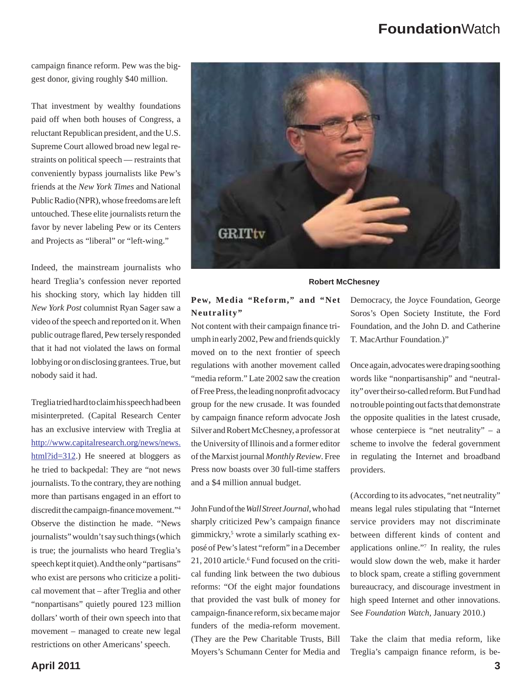campaign finance reform. Pew was the biggest donor, giving roughly \$40 million.

That investment by wealthy foundations paid off when both houses of Congress, a reluctant Republican president, and the U.S. Supreme Court allowed broad new legal restraints on political speech — restraints that conveniently bypass journalists like Pew's friends at the *New York Times* and National Public Radio (NPR), whose freedoms are left untouched. These elite journalists return the favor by never labeling Pew or its Centers and Projects as "liberal" or "left-wing."

Indeed, the mainstream journalists who heard Treglia's confession never reported his shocking story, which lay hidden till *New York Post* columnist Ryan Sager saw a video of the speech and reported on it. When public outrage flared, Pew tersely responded that it had not violated the laws on formal lobbying or on disclosing grantees. True, but nobody said it had.

Treglia tried hard to claim his speech had been misinterpreted. (Capital Research Center has an exclusive interview with Treglia at http://www.capitalresearch.org/news/news.  $html$ ?id=312.) He sneered at bloggers as he tried to backpedal: They are "not news journalists. To the contrary, they are nothing more than partisans engaged in an effort to discredit the campaign-finance movement."4 Observe the distinction he made. "News journalists" wouldn't say such things (which is true; the journalists who heard Treglia's speech kept it quiet). And the only "partisans" who exist are persons who criticize a political movement that – after Treglia and other "nonpartisans" quietly poured 123 million dollars' worth of their own speech into that movement – managed to create new legal restrictions on other Americans' speech.



#### **Robert McChesney**

#### **Pew, Media "Reform," and "Net Neutrality"**

Not content with their campaign finance triumph in early 2002, Pew and friends quickly moved on to the next frontier of speech regulations with another movement called "media reform." Late 2002 saw the creation of Free Press, the leading nonprofit advocacy group for the new crusade. It was founded by campaign finance reform advocate Josh Silver and Robert McChesney, a professor at the University of Illinois and a former editor of the Marxist journal *Monthly Review*. Free Press now boasts over 30 full-time staffers and a \$4 million annual budget.

John Fund of the *Wall Street Journal*, who had sharply criticized Pew's campaign finance gimmickry,5 wrote a similarly scathing exposé of Pew's latest "reform" in a December 21, 2010 article.<sup>6</sup> Fund focused on the critical funding link between the two dubious reforms: "Of the eight major foundations that provided the vast bulk of money for campaign-finance reform, six became major funders of the media-reform movement. (They are the Pew Charitable Trusts, Bill Moyers's Schumann Center for Media and Democracy, the Joyce Foundation, George Soros's Open Society Institute, the Ford Foundation, and the John D. and Catherine T. MacArthur Foundation.)"

Once again, advocates were draping soothing words like "nonpartisanship" and "neutrality" over their so-called reform. But Fund had no trouble pointing out facts that demonstrate the opposite qualities in the latest crusade, whose centerpiece is "net neutrality"  $- a$ scheme to involve the federal government in regulating the Internet and broadband providers.

(According to its advocates, "net neutrality" means legal rules stipulating that "Internet service providers may not discriminate between different kinds of content and applications online."7 In reality, the rules would slow down the web, make it harder to block spam, create a stifling government bureaucracy, and discourage investment in high speed Internet and other innovations. See *Foundation Watch*, January 2010.)

Take the claim that media reform, like Treglia's campaign finance reform, is be-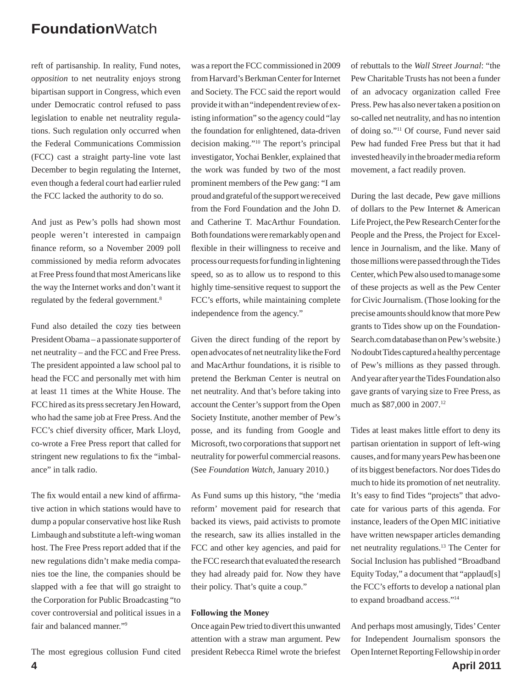reft of partisanship. In reality, Fund notes, *opposition* to net neutrality enjoys strong bipartisan support in Congress, which even under Democratic control refused to pass legislation to enable net neutrality regulations. Such regulation only occurred when the Federal Communications Commission (FCC) cast a straight party-line vote last December to begin regulating the Internet, even though a federal court had earlier ruled the FCC lacked the authority to do so.

And just as Pew's polls had shown most people weren't interested in campaign finance reform, so a November 2009 poll commissioned by media reform advocates at Free Press found that most Americans like the way the Internet works and don't want it regulated by the federal government.8

Fund also detailed the cozy ties between President Obama – a passionate supporter of net neutrality – and the FCC and Free Press. The president appointed a law school pal to head the FCC and personally met with him at least 11 times at the White House. The FCC hired as its press secretary Jen Howard, who had the same job at Free Press. And the FCC's chief diversity officer, Mark Lloyd, co-wrote a Free Press report that called for stringent new regulations to fix the "imbalance" in talk radio.

The fix would entail a new kind of affirmative action in which stations would have to dump a popular conservative host like Rush Limbaugh and substitute a left-wing woman host. The Free Press report added that if the new regulations didn't make media companies toe the line, the companies should be slapped with a fee that will go straight to the Corporation for Public Broadcasting "to cover controversial and political issues in a fair and balanced manner."9

The most egregious collusion Fund cited

was a report the FCC commissioned in 2009 from Harvard's Berkman Center for Internet and Society. The FCC said the report would provide it with an "independent review of existing information" so the agency could "lay the foundation for enlightened, data-driven decision making."10 The report's principal investigator, Yochai Benkler, explained that the work was funded by two of the most prominent members of the Pew gang: "I am proud and grateful of the support we received from the Ford Foundation and the John D. and Catherine T. MacArthur Foundation. Both foundations were remarkably open and flexible in their willingness to receive and process our requests for funding in lightening speed, so as to allow us to respond to this highly time-sensitive request to support the FCC's efforts, while maintaining complete independence from the agency."

Given the direct funding of the report by open advocates of net neutrality like the Ford and MacArthur foundations, it is risible to pretend the Berkman Center is neutral on net neutrality. And that's before taking into account the Center's support from the Open Society Institute, another member of Pew's posse, and its funding from Google and Microsoft, two corporations that support net neutrality for powerful commercial reasons. (See *Foundation Watch*, January 2010.)

As Fund sums up this history, "the 'media reform' movement paid for research that backed its views, paid activists to promote the research, saw its allies installed in the FCC and other key agencies, and paid for the FCC research that evaluated the research they had already paid for. Now they have their policy. That's quite a coup."

#### **Following the Money**

Once again Pew tried to divert this unwanted attention with a straw man argument. Pew president Rebecca Rimel wrote the briefest of rebuttals to the *Wall Street Journal*: "the Pew Charitable Trusts has not been a funder of an advocacy organization called Free Press. Pew has also never taken a position on so-called net neutrality, and has no intention of doing so."11 Of course, Fund never said Pew had funded Free Press but that it had invested heavily in the broader media reform movement, a fact readily proven.

During the last decade, Pew gave millions of dollars to the Pew Internet & American Life Project, the Pew Research Center for the People and the Press, the Project for Excellence in Journalism, and the like. Many of those millions were passed through the Tides Center, which Pew also used to manage some of these projects as well as the Pew Center for Civic Journalism. (Those looking for the precise amounts should know that more Pew grants to Tides show up on the Foundation-Search.com database than on Pew's website.) No doubt Tides captured a healthy percentage of Pew's millions as they passed through. And year after year the Tides Foundation also gave grants of varying size to Free Press, as much as \$87,000 in 2007.12

Tides at least makes little effort to deny its partisan orientation in support of left-wing causes, and for many years Pew has been one of its biggest benefactors. Nor does Tides do much to hide its promotion of net neutrality. It's easy to find Tides "projects" that advocate for various parts of this agenda. For instance, leaders of the Open MIC initiative have written newspaper articles demanding net neutrality regulations.13 The Center for Social Inclusion has published "Broadband Equity Today," a document that "applaud[s] the FCC's efforts to develop a national plan to expand broadband access."14

And perhaps most amusingly, Tides' Center for Independent Journalism sponsors the Open Internet Reporting Fellowship in order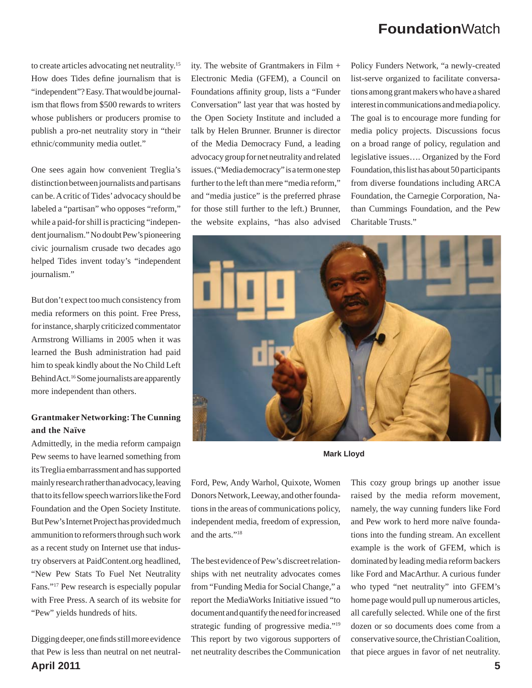to create articles advocating net neutrality.15 How does Tides define journalism that is "independent"? Easy. That would be journalism that flows from \$500 rewards to writers whose publishers or producers promise to publish a pro-net neutrality story in "their ethnic/community media outlet."

One sees again how convenient Treglia's distinction between journalists and partisans can be. A critic of Tides' advocacy should be labeled a "partisan" who opposes "reform," while a paid-for shill is practicing "independent journalism." No doubt Pew's pioneering civic journalism crusade two decades ago helped Tides invent today's "independent journalism."

But don't expect too much consistency from media reformers on this point. Free Press, for instance, sharply criticized commentator Armstrong Williams in 2005 when it was learned the Bush administration had paid him to speak kindly about the No Child Left Behind Act.16 Some journalists are apparently more independent than others.

#### **Grantmaker Networking: The Cunning and the Naïve**

Admittedly, in the media reform campaign Pew seems to have learned something from its Treglia embarrassment and has supported mainly research rather than advocacy, leaving that to its fellow speech warriors like the Ford Foundation and the Open Society Institute. But Pew's Internet Project has provided much ammunition to reformers through such work as a recent study on Internet use that industry observers at PaidContent.org headlined, "New Pew Stats To Fuel Net Neutrality Fans."17 Pew research is especially popular with Free Press. A search of its website for "Pew" yields hundreds of hits.

**April 2011 5** Digging deeper, one finds still more evidence that Pew is less than neutral on net neutral-

ity. The website of Grantmakers in Film + Electronic Media (GFEM), a Council on Foundations affinity group, lists a "Funder Conversation" last year that was hosted by the Open Society Institute and included a talk by Helen Brunner. Brunner is director of the Media Democracy Fund, a leading advocacy group for net neutrality and related issues. ("Media democracy" is a term one step further to the left than mere "media reform," and "media justice" is the preferred phrase for those still further to the left.) Brunner, the website explains, "has also advised Policy Funders Network, "a newly-created list-serve organized to facilitate conversations among grant makers who have a shared interest in communications and media policy. The goal is to encourage more funding for media policy projects. Discussions focus on a broad range of policy, regulation and legislative issues…. Organized by the Ford Foundation, this list has about 50 participants from diverse foundations including ARCA Foundation, the Carnegie Corporation, Nathan Cummings Foundation, and the Pew Charitable Trusts."



**Mark Lloyd**

Ford, Pew, Andy Warhol, Quixote, Women Donors Network, Leeway, and other foundations in the areas of communications policy, independent media, freedom of expression, and the arts."18

The best evidence of Pew's discreet relationships with net neutrality advocates comes from "Funding Media for Social Change," a report the MediaWorks Initiative issued "to document and quantify the need for increased strategic funding of progressive media."<sup>19</sup> This report by two vigorous supporters of net neutrality describes the Communication This cozy group brings up another issue raised by the media reform movement, namely, the way cunning funders like Ford and Pew work to herd more naïve foundations into the funding stream. An excellent example is the work of GFEM, which is dominated by leading media reform backers like Ford and MacArthur. A curious funder who typed "net neutrality" into GFEM's home page would pull up numerous articles, all carefully selected. While one of the first dozen or so documents does come from a conservative source, the Christian Coalition, that piece argues in favor of net neutrality.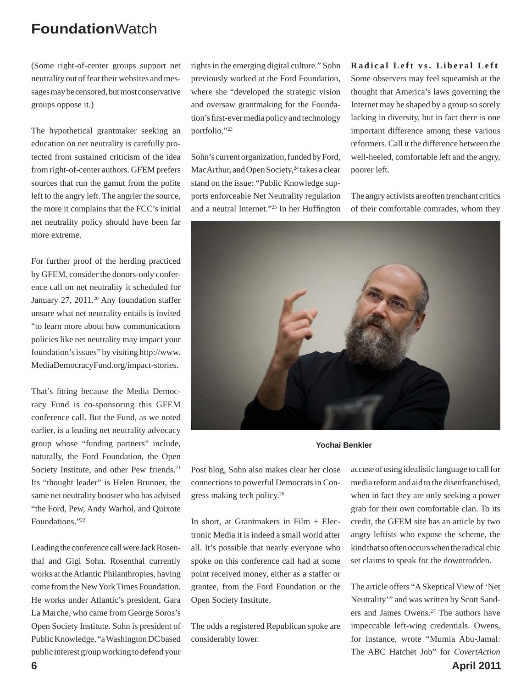(Some right-of-center groups support net neutrality out of fear their websites and messages may be censored, but most conservative groups oppose it.)

The hypothetical grantmaker seeking an education on net neutrality is carefully protected from sustained criticism of the idea from right-of-center authors. GFEM prefers sources that run the gamut from the polite left to the angry left. The angrier the source, the more it complains that the FCC's initial net neutrality policy should have been far more extreme.

For further proof of the herding practiced by GFEM, consider the donors-only conference call on net neutrality it scheduled for January 27, 2011.<sup>20</sup> Any foundation staffer unsure what net neutrality entails is invited "to learn more about how communications policies like net neutrality may impact your foundation's issues" by visiting http://www. MediaDemocracyFund.org/impact-stories.

That's fitting because the Media Democracy Fund is co-sponsoring this GFEM conference call. But the Fund, as we noted earlier, is a leading net neutrality advocacy group whose "funding partners" include, naturally, the Ford Foundation, the Open Society Institute, and other Pew friends.<sup>21</sup> Its "thought leader" is Helen Brunner, the same net neutrality booster who has advised "the Ford, Pew, Andy Warhol, and Quixote Foundations."22

Leading the conference call were Jack Rosenthal and Gigi Sohn. Rosenthal currently works at the Atlantic Philanthropies, having come from the New York Times Foundation. He works under Atlantic's president, Gara La Marche, who came from George Soros's Open Society Institute. Sohn is president of Public Knowledge, "a Washington DC based public interest group working to defend your

rights in the emerging digital culture." Sohn previously worked at the Ford Foundation, where she "developed the strategic vision and oversaw grantmaking for the Foundation's first-ever media policy and technology portfolio."23

Sohn's current organization, funded by Ford, MacArthur, and Open Society,<sup>24</sup> takes a clear stand on the issue: "Public Knowledge supports enforceable Net Neutrality regulation and a neutral Internet."<sup>25</sup> In her Huffington **Radical Left vs. Liberal Left** Some observers may feel squeamish at the thought that America's laws governing the Internet may be shaped by a group so sorely lacking in diversity, but in fact there is one important difference among these various reformers. Call it the difference between the well-heeled, comfortable left and the angry, poorer left.

The angry activists are often trenchant critics of their comfortable comrades, whom they



**Yochai Benkler**

Post blog, Sohn also makes clear her close connections to powerful Democrats in Congress making tech policy.26

In short, at Grantmakers in Film + Electronic Media it is indeed a small world after all. It's possible that nearly everyone who spoke on this conference call had at some point received money, either as a staffer or grantee, from the Ford Foundation or the Open Society Institute.

The odds a registered Republican spoke are considerably lower.

accuse of using idealistic language to call for media reform and aid to the disenfranchised, when in fact they are only seeking a power grab for their own comfortable clan. To its credit, the GFEM site has an article by two angry leftists who expose the scheme, the kind that so often occurs when the radical chic set claims to speak for the downtrodden.

The article offers "A Skeptical View of 'Net Neutrality'" and was written by Scott Sanders and James Owens.27 The authors have impeccable left-wing credentials. Owens, for instance, wrote "Mumia Abu-Jamal: The ABC Hatchet Job" for *CovertAction* 

**6 April 2011**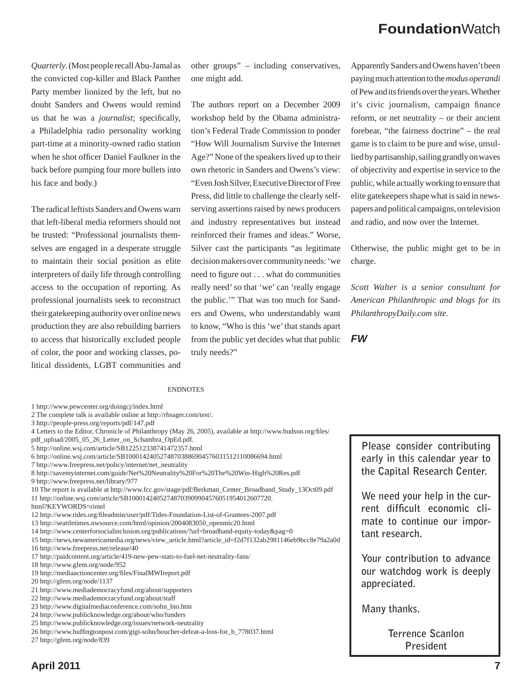*Quarterly*. (Most people recall Abu-Jamal as the convicted cop-killer and Black Panther Party member lionized by the left, but no doubt Sanders and Owens would remind us that he was a *journalist*; specifically, a Philadelphia radio personality working part-time at a minority-owned radio station when he shot officer Daniel Faulkner in the back before pumping four more bullets into his face and body.)

The radical leftists Sanders and Owens warn that left-liberal media reformers should not be trusted: "Professional journalists themselves are engaged in a desperate struggle to maintain their social position as elite interpreters of daily life through controlling access to the occupation of reporting. As professional journalists seek to reconstruct their gatekeeping authority over online news production they are also rebuilding barriers to access that historically excluded people of color, the poor and working classes, political dissidents, LGBT communities and

other groups" – including conservatives, one might add.

The authors report on a December 2009 workshop held by the Obama administration's Federal Trade Commission to ponder "How Will Journalism Survive the Internet Age?" None of the speakers lived up to their own rhetoric in Sanders and Owens's view: "Even Josh Silver, Executive Director of Free Press, did little to challenge the clearly selfserving assertions raised by news producers and industry representatives but instead reinforced their frames and ideas." Worse, Silver cast the participants "as legitimate decision makers over community needs: 'we need to figure out . . . what do communities really need' so that 'we' can 'really engage the public.'" That was too much for Sanders and Owens, who understandably want to know, "Who is this 'we' that stands apart from the public yet decides what that public truly needs?"

Apparently Sanders and Owens haven't been paying much attention to the *modus operandi*  of Pew and its friends over the years. Whether it's civic journalism, campaign finance reform, or net neutrality – or their ancient forebear, "the fairness doctrine" – the real game is to claim to be pure and wise, unsullied by partisanship, sailing grandly on waves of objectivity and expertise in service to the public, while actually working to ensure that elite gatekeepers shape what is said in newspapers and political campaigns, on television and radio, and now over the Internet.

Otherwise, the public might get to be in charge.

*Scott Walter is a senior consultant for American Philanthropic and blogs for its PhilanthropyDaily.com site.*

*FW*

#### ENDNOTES

- 2 The complete talk is available online at http://rhsager.com/test/.
- 3 http://people-press.org/reports/pdf/147.pdf
- 4 Letters to the Editor, Chronicle of Philanthropy (May 26, 2005), available at http://www.hudson.org/files/
- pdf\_upload/2005\_05\_26\_Letter\_on\_Schambra\_OpEd.pdf.
- 5 http://online.wsj.com/article/SB122512338741472357.html
- 6 http://online.wsj.com/article/SB10001424052748703886904576031512110086694.html
- 7 http://www.freepress.net/policy/internet/net\_neutrality
- 8 http://savemyinternet.com/guide/Net%20Neutrality%20For%20The%20Win-High%20Res.pdf
- 9 http://www.freepress.net/library/977
- 10 The report is available at http://www.fcc.gov/stage/pdf/Berkman\_Center\_Broadband\_Study\_13Oct09.pdf 11 http://online.wsj.com/article/SB10001424052748703909904576051954012607720.
- html?KEYWORDS=rimel
- 12 http://www.tides.org/fi leadmin/user/pdf/Tides-Foundation-List-of-Grantees-2007.pdf
- 13 http://seattletimes.nwsource.com/html/opinion/2004083050\_openmic20.html
- 14 http://www.centerforsocialinclusion.org/publications/?url=broadband-equity-today&pag=0
- 15 http://news.newamericamedia.org/news/view\_article.html?article\_id=f2d7f132ab2981146eb9bcc8e79a2a0d 16 http://www.freepress.net/release/40
- 
- 17 http://paidcontent.org/article/419-new-pew-stats-to-fuel-net-neutrality-fans/
- 18 http://www.gfem.org/node/952
- 19 http://mediaactioncenter.org/fi les/FinalMWIreport.pdf
- 20 http://gfem.org/node/1137
- 21 http://www.mediademocracyfund.org/about/supporters
- 22 http://www.mediademocracyfund.org/about/staff
- 23 http://www.digitalmediaconference.com/sohn\_bio.htm
- 24 http://www.publicknowledge.org/about/who/funders
- 25 http://www.publicknowledge.org/issues/network-neutrality
- 26 http://www.huffingtonpost.com/gigi-sohn/boucher-defeat-a-loss-for\_b\_778037.html
- 27 http://gfem.org/node/839

**Please consider contributing early in this calendar year to the Capital Research Center.**

**We need your help in the cur**rent difficult economic cli**mate to continue our important research.** 

**Your contribution to advance our watchdog work is deeply appreciated.** 

**Many thanks.** 

**Terrence Scanlon President**

<sup>1</sup> http://www.pewcenter.org/doingcj/index.html